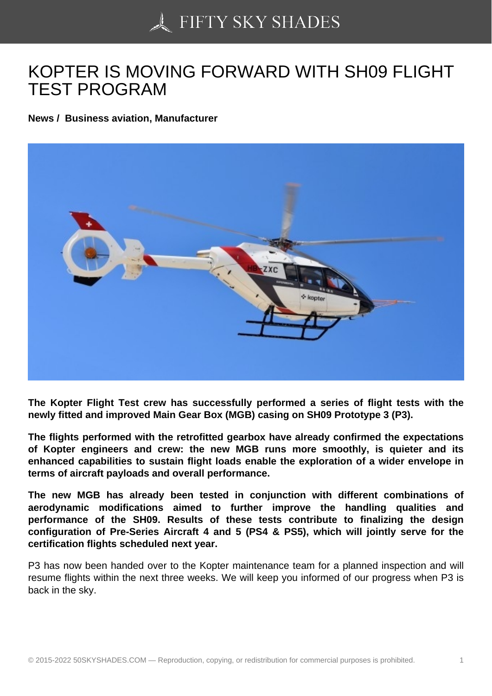## [KOPTER IS MOVING F](https://50skyshades.com)ORWARD WITH SH09 FLIGHT TEST PROGRAM

News / Business aviation, Manufacturer

The Kopter Flight Test crew has successfully performed a series of flight tests with the newly fitted and improved Main Gear Box (MGB) casing on SH09 Prototype 3 (P3).

The flights performed with the retrofitted gearbox have already confirmed the expectations of Kopter engineers and crew: the new MGB runs more smoothly, is quieter and its enhanced capabilities to sustain flight loads enable the exploration of a wider envelope in terms of aircraft payloads and overall performance.

The new MGB has already been tested in conjunction with different combinations of aerodynamic modifications aimed to further improve the handling qualities and performance of the SH09. Results of these tests contribute to finalizing the design configuration of Pre-Series Aircraft 4 and 5 (PS4 & PS5), which will jointly serve for the certification flights scheduled next year.

P3 has now been handed over to the Kopter maintenance team for a planned inspection and will resume flights within the next three weeks. We will keep you informed of our progress when P3 is back in the sky.